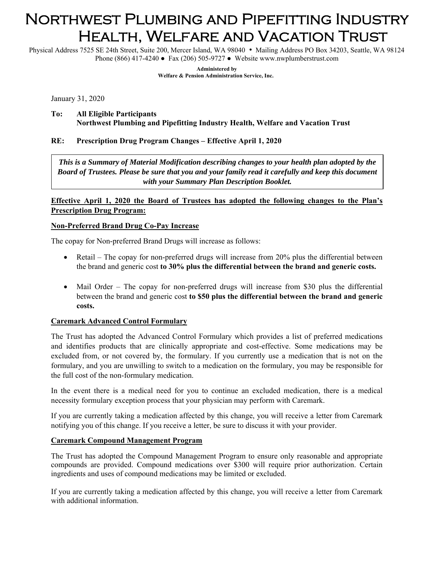# Northwest Plumbing and Pipefitting Industry Health, Welfare and Vacation Trust

Physical Address 7525 SE 24th Street, Suite 200, Mercer Island, WA 98040 • Mailing Address PO Box 34203, Seattle, WA 98124 Phone (866) 417-4240 ● Fax (206) 505-9727 ● Website www.nwplumberstrust.com

> **Administered by Welfare & Pension Administration Service, Inc.**

January 31, 2020

#### **To: All Eligible Participants Northwest Plumbing and Pipefitting Industry Health, Welfare and Vacation Trust**

## **RE: Prescription Drug Program Changes – Effective April 1, 2020**

*This is a Summary of Material Modification describing changes to your health plan adopted by the Board of Trustees. Please be sure that you and your family read it carefully and keep this document with your Summary Plan Description Booklet.* 

## **Effective April 1, 2020 the Board of Trustees has adopted the following changes to the Plan's Prescription Drug Program:**

## **Non-Preferred Brand Drug Co-Pay Increase**

The copay for Non-preferred Brand Drugs will increase as follows:

- Retail The copay for non-preferred drugs will increase from 20% plus the differential between the brand and generic cost **to 30% plus the differential between the brand and generic costs.**
- Mail Order The copay for non-preferred drugs will increase from \$30 plus the differential between the brand and generic cost **to \$50 plus the differential between the brand and generic costs.**

#### **Caremark Advanced Control Formulary**

The Trust has adopted the Advanced Control Formulary which provides a list of preferred medications and identifies products that are clinically appropriate and cost-effective. Some medications may be excluded from, or not covered by, the formulary. If you currently use a medication that is not on the formulary, and you are unwilling to switch to a medication on the formulary, you may be responsible for the full cost of the non-formulary medication.

In the event there is a medical need for you to continue an excluded medication, there is a medical necessity formulary exception process that your physician may perform with Caremark.

If you are currently taking a medication affected by this change, you will receive a letter from Caremark notifying you of this change. If you receive a letter, be sure to discuss it with your provider.

#### **Caremark Compound Management Program**

The Trust has adopted the Compound Management Program to ensure only reasonable and appropriate compounds are provided. Compound medications over \$300 will require prior authorization. Certain ingredients and uses of compound medications may be limited or excluded.

If you are currently taking a medication affected by this change, you will receive a letter from Caremark with additional information.